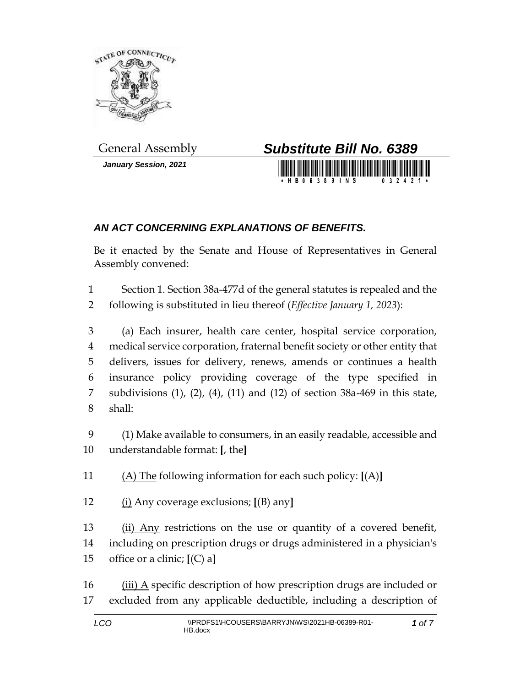

*January Session, 2021*



## *AN ACT CONCERNING EXPLANATIONS OF BENEFITS.*

Be it enacted by the Senate and House of Representatives in General Assembly convened:

 Section 1. Section 38a-477d of the general statutes is repealed and the following is substituted in lieu thereof (*Effective January 1, 2023*):

 (a) Each insurer, health care center, hospital service corporation, medical service corporation, fraternal benefit society or other entity that delivers, issues for delivery, renews, amends or continues a health insurance policy providing coverage of the type specified in subdivisions (1), (2), (4), (11) and (12) of section 38a-469 in this state, shall:

 (1) Make available to consumers, in an easily readable, accessible and understandable format: **[**, the**]**

(A) The following information for each such policy: **[**(A)**]**

(i) Any coverage exclusions; **[**(B) any**]**

13 (ii) Any restrictions on the use or quantity of a covered benefit, including on prescription drugs or drugs administered in a physician's office or a clinic; **[**(C) a**]**

16  $(iii)$  A specific description of how prescription drugs are included or excluded from any applicable deductible, including a description of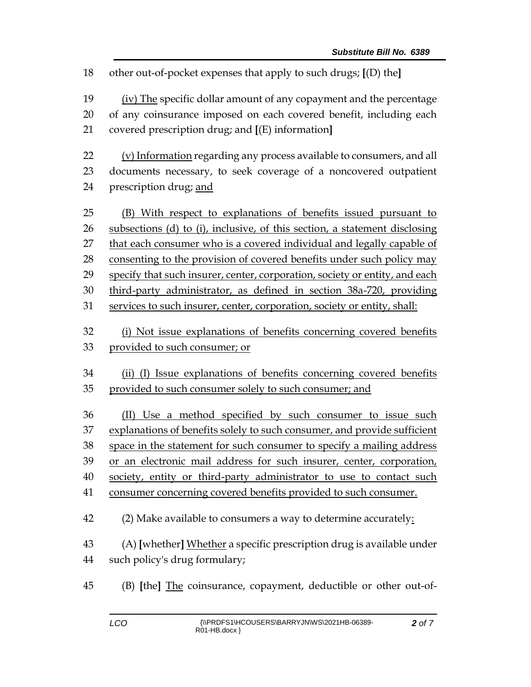other out-of-pocket expenses that apply to such drugs; **[**(D) the**]** (iv) The specific dollar amount of any copayment and the percentage of any coinsurance imposed on each covered benefit, including each covered prescription drug; and **[**(E) information**]** (v) Information regarding any process available to consumers, and all documents necessary, to seek coverage of a noncovered outpatient prescription drug; and (B) With respect to explanations of benefits issued pursuant to subsections (d) to (i), inclusive, of this section, a statement disclosing that each consumer who is a covered individual and legally capable of consenting to the provision of covered benefits under such policy may specify that such insurer, center, corporation, society or entity, and each third-party administrator, as defined in section 38a-720, providing services to such insurer, center, corporation, society or entity, shall: (i) Not issue explanations of benefits concerning covered benefits provided to such consumer; or (ii) (I) Issue explanations of benefits concerning covered benefits provided to such consumer solely to such consumer; and (II) Use a method specified by such consumer to issue such 37 explanations of benefits solely to such consumer, and provide sufficient space in the statement for such consumer to specify a mailing address or an electronic mail address for such insurer, center, corporation, society, entity or third-party administrator to use to contact such consumer concerning covered benefits provided to such consumer. (2) Make available to consumers a way to determine accurately: (A) **[**whether**]** Whether a specific prescription drug is available under such policy's drug formulary; (B) **[**the**]** The coinsurance, copayment, deductible or other out-of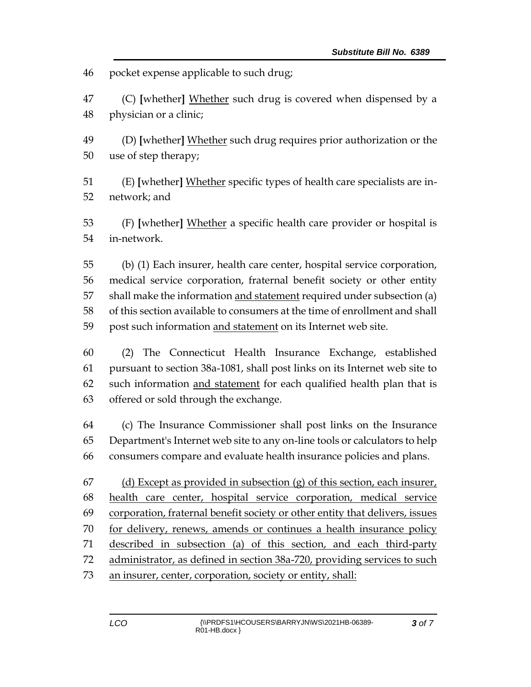pocket expense applicable to such drug;

 (C) **[**whether**]** Whether such drug is covered when dispensed by a physician or a clinic;

 (D) **[**whether**]** Whether such drug requires prior authorization or the use of step therapy;

 (E) **[**whether**]** Whether specific types of health care specialists are in-network; and

 (F) **[**whether**]** Whether a specific health care provider or hospital is in-network.

 (b) (1) Each insurer, health care center, hospital service corporation, medical service corporation, fraternal benefit society or other entity shall make the information and statement required under subsection (a) of this section available to consumers at the time of enrollment and shall 59 post such information and statement on its Internet web site.

 (2) The Connecticut Health Insurance Exchange, established pursuant to section 38a-1081, shall post links on its Internet web site to such information and statement for each qualified health plan that is offered or sold through the exchange.

 (c) The Insurance Commissioner shall post links on the Insurance Department's Internet web site to any on-line tools or calculators to help consumers compare and evaluate health insurance policies and plans.

67 (d) Except as provided in subsection  $(g)$  of this section, each insurer, health care center, hospital service corporation, medical service corporation, fraternal benefit society or other entity that delivers, issues for delivery, renews, amends or continues a health insurance policy described in subsection (a) of this section, and each third-party administrator, as defined in section 38a-720, providing services to such an insurer, center, corporation, society or entity, shall: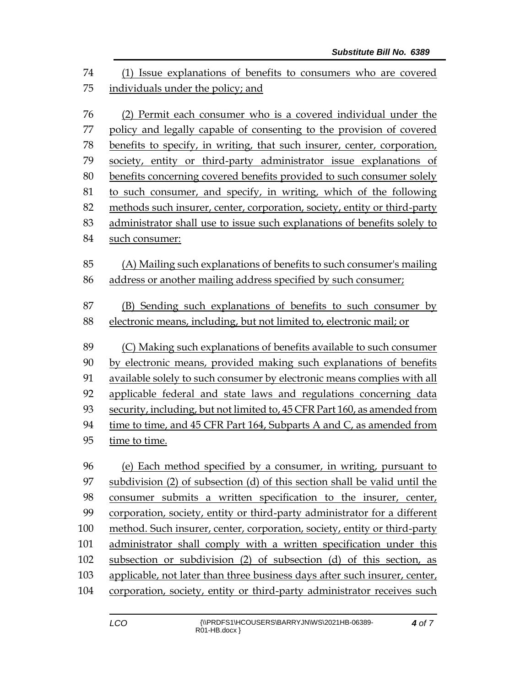(1) Issue explanations of benefits to consumers who are covered individuals under the policy; and

 (2) Permit each consumer who is a covered individual under the policy and legally capable of consenting to the provision of covered benefits to specify, in writing, that such insurer, center, corporation, society, entity or third-party administrator issue explanations of benefits concerning covered benefits provided to such consumer solely to such consumer, and specify, in writing, which of the following methods such insurer, center, corporation, society, entity or third-party administrator shall use to issue such explanations of benefits solely to such consumer: (A) Mailing such explanations of benefits to such consumer's mailing address or another mailing address specified by such consumer; (B) Sending such explanations of benefits to such consumer by electronic means, including, but not limited to, electronic mail; or (C) Making such explanations of benefits available to such consumer by electronic means, provided making such explanations of benefits available solely to such consumer by electronic means complies with all applicable federal and state laws and regulations concerning data security, including, but not limited to, 45 CFR Part 160, as amended from time to time, and 45 CFR Part 164, Subparts A and C, as amended from time to time.

 (e) Each method specified by a consumer, in writing, pursuant to subdivision (2) of subsection (d) of this section shall be valid until the consumer submits a written specification to the insurer, center, corporation, society, entity or third-party administrator for a different method. Such insurer, center, corporation, society, entity or third-party administrator shall comply with a written specification under this subsection or subdivision (2) of subsection (d) of this section, as applicable, not later than three business days after such insurer, center, corporation, society, entity or third-party administrator receives such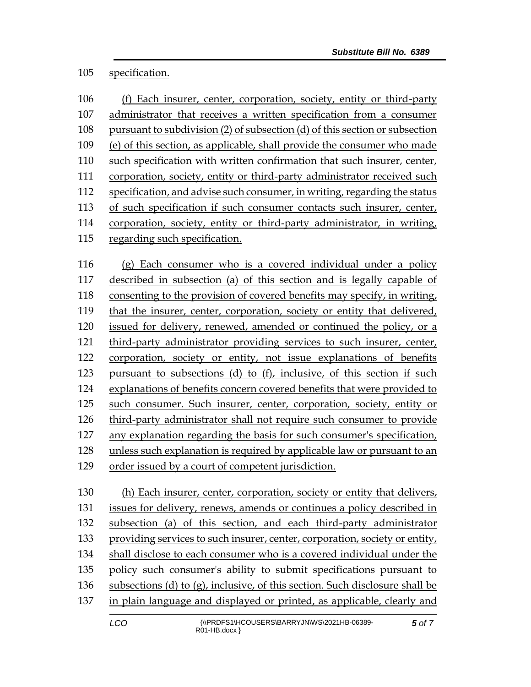## specification.

| 106 | (f) Each insurer, center, corporation, society, entity or third-party       |
|-----|-----------------------------------------------------------------------------|
| 107 | administrator that receives a written specification from a consumer         |
| 108 | pursuant to subdivision (2) of subsection (d) of this section or subsection |
| 109 | (e) of this section, as applicable, shall provide the consumer who made     |
| 110 | such specification with written confirmation that such insurer, center,     |
| 111 | corporation, society, entity or third-party administrator received such     |
| 112 | specification, and advise such consumer, in writing, regarding the status   |
| 113 | of such specification if such consumer contacts such insurer, center,       |
| 114 | corporation, society, entity or third-party administrator, in writing,      |
| 115 | regarding such specification.                                               |
|     |                                                                             |

 (g) Each consumer who is a covered individual under a policy described in subsection (a) of this section and is legally capable of consenting to the provision of covered benefits may specify, in writing, that the insurer, center, corporation, society or entity that delivered, issued for delivery, renewed, amended or continued the policy, or a third-party administrator providing services to such insurer, center, corporation, society or entity, not issue explanations of benefits pursuant to subsections (d) to (f), inclusive, of this section if such explanations of benefits concern covered benefits that were provided to such consumer. Such insurer, center, corporation, society, entity or third-party administrator shall not require such consumer to provide any explanation regarding the basis for such consumer's specification, unless such explanation is required by applicable law or pursuant to an order issued by a court of competent jurisdiction.

 (h) Each insurer, center, corporation, society or entity that delivers, issues for delivery, renews, amends or continues a policy described in subsection (a) of this section, and each third-party administrator providing services to such insurer, center, corporation, society or entity, shall disclose to each consumer who is a covered individual under the policy such consumer's ability to submit specifications pursuant to 136 subsections (d) to (g), inclusive, of this section. Such disclosure shall be in plain language and displayed or printed, as applicable, clearly and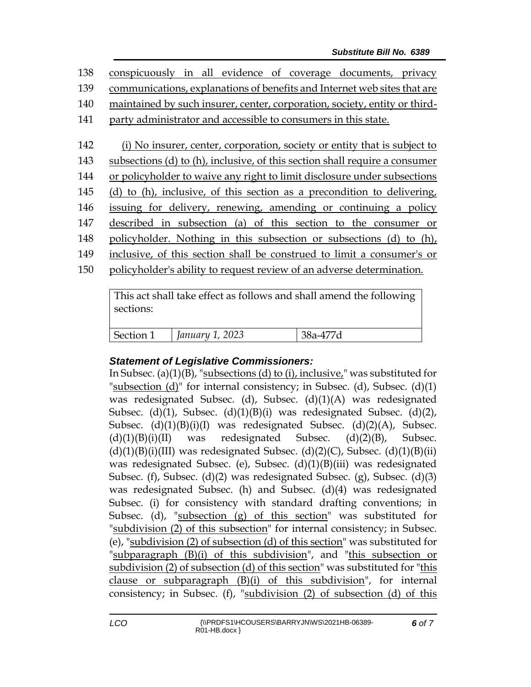conspicuously in all evidence of coverage documents, privacy communications, explanations of benefits and Internet web sites that are maintained by such insurer, center, corporation, society, entity or third- party administrator and accessible to consumers in this state. (i) No insurer, center, corporation, society or entity that is subject to subsections (d) to (h), inclusive, of this section shall require a consumer or policyholder to waive any right to limit disclosure under subsections (d) to (h), inclusive, of this section as a precondition to delivering, issuing for delivery, renewing, amending or continuing a policy described in subsection (a) of this section to the consumer or policyholder. Nothing in this subsection or subsections (d) to (h), inclusive, of this section shall be construed to limit a consumer's or policyholder's ability to request review of an adverse determination.

This act shall take effect as follows and shall amend the following sections: Section 1 *January 1, 2023* 38a-477d

## *Statement of Legislative Commissioners:*

In Subsec. (a) $(1)(B)$ , "subsections (d) to (i), inclusive," was substituted for "subsection  $(d)$ " for internal consistency; in Subsec.  $(d)$ , Subsec.  $(d)(1)$ was redesignated Subsec. (d), Subsec. (d)(1)(A) was redesignated Subsec. (d)(1), Subsec. (d)(1)(B)(i) was redesignated Subsec. (d)(2), Subsec. (d)(1)(B)(i)(I) was redesignated Subsec. (d)(2)(A), Subsec.  $(d)(1)(B)(i)(II)$  was redesignated Subsec.  $(d)(2)(B)$ , Subsec.  $(d)(1)(B)(i)(III)$  was redesignated Subsec.  $(d)(2)(C)$ , Subsec.  $(d)(1)(B)(ii)$ was redesignated Subsec. (e), Subsec. (d)(1)(B)(iii) was redesignated Subsec. (f), Subsec. (d)(2) was redesignated Subsec. (g), Subsec. (d)(3) was redesignated Subsec. (h) and Subsec. (d)(4) was redesignated Subsec. (i) for consistency with standard drafting conventions; in Subsec. (d), "subsection (g) of this section" was substituted for "subdivision (2) of this subsection" for internal consistency; in Subsec. (e), "subdivision (2) of subsection (d) of this section" was substituted for "subparagraph (B)(i) of this subdivision", and "this subsection or subdivision (2) of subsection (d) of this section" was substituted for "this clause or subparagraph (B)(i) of this subdivision", for internal consistency; in Subsec. (f), "subdivision (2) of subsection (d) of this